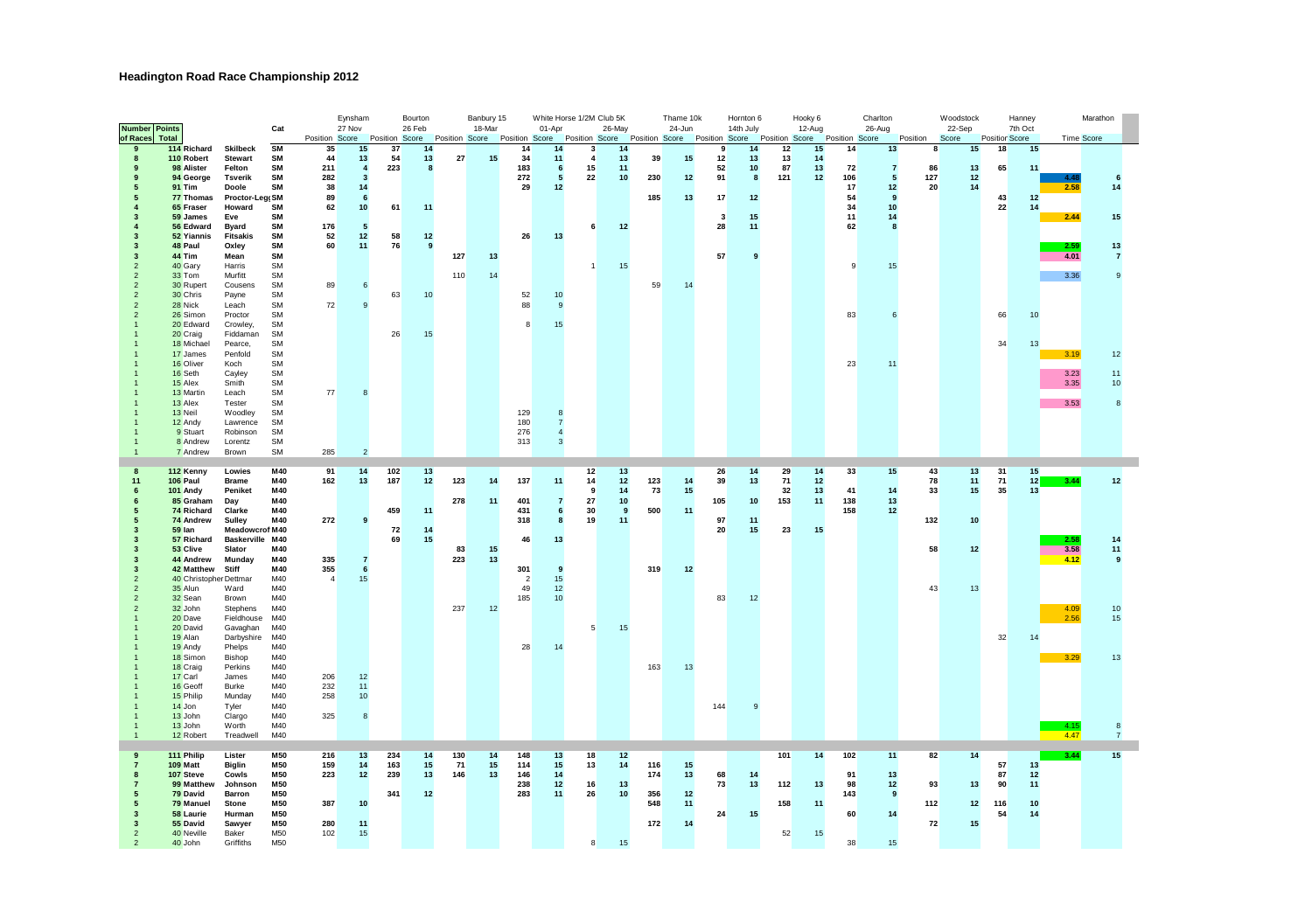## **Headington Road Race Championship 2012**

| <b>Number Points</b>                      |                          |                           | Cat                    |                  | Eynsham<br>27 Nov    |                | Bourton<br>26 Feb |     | Banbury 15<br>18-Mar                         |                | White Horse 1/2M Club 5K<br>01-Apr |                         | 26-May   |     | Thame 10k<br>24-Jun |                               | Hornton 6<br>14th July                                      | Hooky 6  | $12-Auq$ |              | Charlton<br>26-Aug |          | Woodstock<br>22-Sep |                | Hanney<br>7th Oct |              | Marathon           |  |
|-------------------------------------------|--------------------------|---------------------------|------------------------|------------------|----------------------|----------------|-------------------|-----|----------------------------------------------|----------------|------------------------------------|-------------------------|----------|-----|---------------------|-------------------------------|-------------------------------------------------------------|----------|----------|--------------|--------------------|----------|---------------------|----------------|-------------------|--------------|--------------------|--|
| of Races<br>Total                         |                          |                           |                        | Position Score   |                      | Position Score |                   |     | Position Score Position Score Position Score |                |                                    |                         |          |     |                     |                               | Position Score Position Score Position Score Position Score |          |          |              |                    | Position | Score               | Position Score |                   | Time Score   |                    |  |
| $\overline{9}$                            | 114 Richard              | <b>Skilbeck</b>           | <b>SM</b>              | 35               | 15                   | 37             | 14                |     |                                              | 14             | 14                                 | $\overline{\mathbf{3}}$ | 14       |     |                     | $\mathbf{a}$                  | 14                                                          | 12       | 15       | 14           | 13                 | R        | 15                  | 18             | 15                |              |                    |  |
| $\mathbf{a}$<br>$\mathbf{a}$              | 110 Robert<br>98 Alister | Stewart<br>Felton         | <b>SM</b><br><b>SM</b> | 44<br>211        | 13<br>$\overline{4}$ | 54<br>223      | 13<br>8           | 27  | 15                                           | 34<br>183      | 11<br>6                            | $\overline{a}$<br>15    | 13<br>11 | 39  | 15                  | 12<br>52                      | 13<br>10 <sup>1</sup>                                       | 13<br>87 | 14<br>13 | 72           | $\overline{7}$     | 86       | 13                  | 65             | 11                |              |                    |  |
| я                                         | 94 George                | <b>Tsverik</b>            | <b>SM</b>              | 282              | $\mathbf{3}$         |                |                   |     |                                              | 272            | 5                                  | 22                      | 10       | 230 | 12                  | 91                            | $\bf{8}$                                                    | 121      | 12       | 106          | 5                  | 127      | 12                  |                |                   | 4.48         |                    |  |
| 5                                         | 91 Tim                   | Doole                     | <b>SM</b>              | 38               | 14                   |                |                   |     |                                              | 29             | 12                                 |                         |          |     |                     |                               |                                                             |          |          | 17           | 12                 | 20       | 14                  |                |                   | 2.58         | 14                 |  |
| 5                                         | 77 Thomas                | Proctor-Legs SM           |                        | 89               | 6                    |                |                   |     |                                              |                |                                    |                         |          | 185 | 13                  | 17                            | 12                                                          |          |          | 54           | $\overline{9}$     |          |                     | 43             | 12                |              |                    |  |
|                                           | 65 Fraser                | Howard                    | SM                     | 62               | 10                   | 61             | 11                |     |                                              |                |                                    |                         |          |     |                     |                               |                                                             |          |          | 34           | 10                 |          |                     | 22             | 14                |              |                    |  |
| з                                         | 59 James<br>56 Edward    | Eve                       | SM<br>SM               | 176              |                      |                |                   |     |                                              |                |                                    |                         | 12       |     |                     | $\overline{\mathbf{3}}$<br>28 | 15                                                          |          |          | 11<br>62     | 14<br>$\mathbf{a}$ |          |                     |                |                   | 2.44         | 15                 |  |
| з                                         | 52 Yiannis               | Bvard<br><b>Fitsakis</b>  | SM                     | 52               | 5<br>12              | 58             | 12                |     |                                              | 26             | 13                                 | 6                       |          |     |                     |                               | 11                                                          |          |          |              |                    |          |                     |                |                   |              |                    |  |
|                                           | 48 Paul                  | Oxley                     | SM                     | 60               | 11                   | 76             | $\mathbf{a}$      |     |                                              |                |                                    |                         |          |     |                     |                               |                                                             |          |          |              |                    |          |                     |                |                   | 2.59         | 13                 |  |
|                                           | 44 Tim                   | Mean                      | <b>SM</b>              |                  |                      |                |                   | 127 | 13                                           |                |                                    |                         |          |     |                     | 57                            | $\mathbf{a}$                                                |          |          |              |                    |          |                     |                |                   | 4.01         | $\overline{7}$     |  |
|                                           | 40 Gary                  | Harris                    | <b>SM</b>              |                  |                      |                |                   |     |                                              |                |                                    | $\overline{1}$          | 15       |     |                     |                               |                                                             |          |          | $\mathbf{Q}$ | 15                 |          |                     |                |                   |              |                    |  |
|                                           | 33 Tom                   | Murfitt                   | <b>SM</b>              |                  |                      |                |                   | 110 | 14                                           |                |                                    |                         |          |     |                     |                               |                                                             |          |          |              |                    |          |                     |                |                   | 3.36         |                    |  |
|                                           | 30 Rupert<br>30 Chris    | Cousens<br>Payne          | <b>SM</b><br><b>SM</b> | 89               | 6                    | 63             | 10                |     |                                              | 52             | 10                                 |                         |          | 59  | 14                  |                               |                                                             |          |          |              |                    |          |                     |                |                   |              |                    |  |
|                                           | 28 Nick                  | Leach                     | SM                     | 72               | $\mathbf{q}$         |                |                   |     |                                              | 88             | $\mathbf{a}$                       |                         |          |     |                     |                               |                                                             |          |          |              |                    |          |                     |                |                   |              |                    |  |
|                                           | 26 Simon                 | Proctor                   | <b>SM</b>              |                  |                      |                |                   |     |                                              |                |                                    |                         |          |     |                     |                               |                                                             |          |          | 83           | 6                  |          |                     | 66             | 10                |              |                    |  |
|                                           | 20 Edward                | Crowley,                  | SM                     |                  |                      |                |                   |     |                                              | 8              | 15                                 |                         |          |     |                     |                               |                                                             |          |          |              |                    |          |                     |                |                   |              |                    |  |
|                                           | 20 Craig                 | Fiddaman                  | SM                     |                  |                      | 26             | 15                |     |                                              |                |                                    |                         |          |     |                     |                               |                                                             |          |          |              |                    |          |                     |                |                   |              |                    |  |
|                                           | 18 Michael               | Pearce,                   | SM                     |                  |                      |                |                   |     |                                              |                |                                    |                         |          |     |                     |                               |                                                             |          |          |              |                    |          |                     | 34             | 13                |              |                    |  |
|                                           | 17 James<br>16 Oliver    | Penfold<br>Koch           | SM<br><b>SM</b>        |                  |                      |                |                   |     |                                              |                |                                    |                         |          |     |                     |                               |                                                             |          |          | 23           | 11                 |          |                     |                |                   | 3.19         | 12                 |  |
|                                           | 16 Seth                  | Cayley                    | <b>SM</b>              |                  |                      |                |                   |     |                                              |                |                                    |                         |          |     |                     |                               |                                                             |          |          |              |                    |          |                     |                |                   | 3.23         | 11                 |  |
|                                           | 15 Alex                  | Smith                     | SM                     |                  |                      |                |                   |     |                                              |                |                                    |                         |          |     |                     |                               |                                                             |          |          |              |                    |          |                     |                |                   | 3.35         | 10                 |  |
|                                           | 13 Martin                | Leach                     | SM                     | 77               | $\mathbf{a}$         |                |                   |     |                                              |                |                                    |                         |          |     |                     |                               |                                                             |          |          |              |                    |          |                     |                |                   |              |                    |  |
|                                           | 13 Alex                  | Tester                    | <b>SM</b>              |                  |                      |                |                   |     |                                              |                |                                    |                         |          |     |                     |                               |                                                             |          |          |              |                    |          |                     |                |                   | 3.53         |                    |  |
|                                           | 13 Neil<br>12 Andy       | Woodley<br>Lawrence       | SM<br>SM               |                  |                      |                |                   |     |                                              | 129<br>180     | $\overline{7}$                     |                         |          |     |                     |                               |                                                             |          |          |              |                    |          |                     |                |                   |              |                    |  |
|                                           | 9 Stuart                 | Robinson                  | SM                     |                  |                      |                |                   |     |                                              | 276            | $\overline{4}$                     |                         |          |     |                     |                               |                                                             |          |          |              |                    |          |                     |                |                   |              |                    |  |
|                                           | 8 Andrew                 | Lorentz                   | <b>SM</b>              |                  |                      |                |                   |     |                                              | 313            | 3                                  |                         |          |     |                     |                               |                                                             |          |          |              |                    |          |                     |                |                   |              |                    |  |
|                                           | 7 Andrew                 | Brown                     | SM                     | 285              | $\mathcal{D}$        |                |                   |     |                                              |                |                                    |                         |          |     |                     |                               |                                                             |          |          |              |                    |          |                     |                |                   |              |                    |  |
| $\mathbf{a}$                              | 112 Kenny                | Lowies                    | M40                    | 91               | 14                   | 102            | 13                |     |                                              |                |                                    | 12                      | 13       |     |                     | 26                            | 14                                                          | 29       | 14       | 33           | 15                 | 43       | 13                  | 31             | 15                |              |                    |  |
| 11                                        | 106 Paul                 | Brame                     | M40                    | 162              | 13                   | 187            | 12                | 123 | 14                                           | 137            | 11                                 | 14                      | $12$     | 123 | 14                  | 39                            | 13                                                          | 71       | $12\,$   |              |                    | 78       | 11                  | 71             | 12                | 3.44         | $12$               |  |
| 6                                         | 101 Andy                 | Peniket                   | M40                    |                  |                      |                |                   |     |                                              |                |                                    | 9                       | 14       | 73  | 15                  |                               |                                                             | 32       | 13       | 41           | 14                 | 33       | $15\,$              | 35             | 13                |              |                    |  |
|                                           |                          |                           |                        |                  |                      |                |                   |     |                                              | 401            |                                    | 27                      | 10       |     |                     | 105                           | 10                                                          | 153      | 11       | 138          | 13                 |          |                     |                |                   |              |                    |  |
|                                           | 85 Graham                | Day                       | M40                    |                  |                      |                |                   | 278 | 11                                           |                | $\overline{7}$                     |                         |          |     |                     |                               |                                                             |          |          |              |                    |          |                     |                |                   |              |                    |  |
| 5                                         | 74 Richard               | Clarke                    | M40                    |                  |                      | 459            | 11                |     |                                              | 431            | 6                                  | 30                      | 9        | 500 | 11                  |                               |                                                             |          |          | 158          | 12                 |          |                     |                |                   |              |                    |  |
| 5                                         | 74 Andrew                | Sulley                    | M40                    | 272              | $\mathbf{a}$         |                |                   |     |                                              | 318            | 8                                  | 19                      | 11       |     |                     | 97                            | 11                                                          |          |          |              |                    | 132      | 10                  |                |                   |              |                    |  |
| $\mathbf{3}$                              | 59 lan                   | <b>Meadowcrof M40</b>     |                        |                  |                      | 72             | 14                |     |                                              |                |                                    |                         |          |     |                     | 20                            | 15                                                          | 23       | 15       |              |                    |          |                     |                |                   |              |                    |  |
| $\mathbf{3}$<br>$\mathbf{3}$              | 57 Richard<br>53 Clive   | Baskerville M40<br>Slator | M40                    |                  |                      | 69             | 15                | 83  | 15                                           | 46             | 13                                 |                         |          |     |                     |                               |                                                             |          |          |              |                    | 58       |                     |                |                   | 2.58         | 14                 |  |
| $\mathbf{3}$                              | 44 Andrew                | Munday                    | M40                    | 335              | $\overline{7}$       |                |                   | 223 | 13                                           |                |                                    |                         |          |     |                     |                               |                                                             |          |          |              |                    |          | 12                  |                |                   | 3.58<br>4.12 | 11<br>$\mathbf{a}$ |  |
| $\mathbf{3}$                              | 42 Matthew               | Stiff                     | M40                    | 355              | 6                    |                |                   |     |                                              | 301            | 9                                  |                         |          | 319 | 12                  |                               |                                                             |          |          |              |                    |          |                     |                |                   |              |                    |  |
|                                           | 40 Christopher Dettmar   |                           | M40                    | $\boldsymbol{A}$ | 15                   |                |                   |     |                                              | $\overline{2}$ | 15                                 |                         |          |     |                     |                               |                                                             |          |          |              |                    |          |                     |                |                   |              |                    |  |
|                                           | 35 Alun                  | Ward                      | M40                    |                  |                      |                |                   |     |                                              | 49             | 12                                 |                         |          |     |                     |                               |                                                             |          |          |              |                    | 43       | 13                  |                |                   |              |                    |  |
|                                           | 32 Sean                  | Brown                     | M40<br>M40             |                  |                      |                |                   |     |                                              | 185            | 10                                 |                         |          |     |                     | 83                            | 12                                                          |          |          |              |                    |          |                     |                |                   |              |                    |  |
|                                           | 32 John<br>20 Dave       | Stephens<br>Fieldhouse    | M40                    |                  |                      |                |                   | 237 | 12                                           |                |                                    |                         |          |     |                     |                               |                                                             |          |          |              |                    |          |                     |                |                   | 4.09<br>2.56 | 10<br>15           |  |
|                                           | 20 David                 | Gavaghan                  | M40                    |                  |                      |                |                   |     |                                              |                |                                    | 5                       | 15       |     |                     |                               |                                                             |          |          |              |                    |          |                     |                |                   |              |                    |  |
|                                           | 19 Alan                  | Darbyshire                | M40                    |                  |                      |                |                   |     |                                              |                |                                    |                         |          |     |                     |                               |                                                             |          |          |              |                    |          |                     | 32             | 14                |              |                    |  |
|                                           | 19 Andy                  | Phelps                    | M40                    |                  |                      |                |                   |     |                                              | 28             | 14                                 |                         |          |     |                     |                               |                                                             |          |          |              |                    |          |                     |                |                   |              |                    |  |
|                                           | 18 Simon<br>18 Craig     | Bishop<br>Perkins         | M40<br>M40             |                  |                      |                |                   |     |                                              |                |                                    |                         |          | 163 | 13                  |                               |                                                             |          |          |              |                    |          |                     |                |                   | 3.29         | 13                 |  |
|                                           | 17 Carl                  | James                     | M40                    | 206              | 12                   |                |                   |     |                                              |                |                                    |                         |          |     |                     |                               |                                                             |          |          |              |                    |          |                     |                |                   |              |                    |  |
|                                           | 16 Geoff                 | Burke                     | M40                    | 232              | 11                   |                |                   |     |                                              |                |                                    |                         |          |     |                     |                               |                                                             |          |          |              |                    |          |                     |                |                   |              |                    |  |
|                                           | 15 Philip                | Munday                    | M40                    | 258              | 10                   |                |                   |     |                                              |                |                                    |                         |          |     |                     |                               |                                                             |          |          |              |                    |          |                     |                |                   |              |                    |  |
|                                           | 14 Jon                   | Tyler                     | M40                    |                  |                      |                |                   |     |                                              |                |                                    |                         |          |     |                     | 144                           | $\mathbf{a}$                                                |          |          |              |                    |          |                     |                |                   |              |                    |  |
|                                           | 13 John                  | Clargo                    | M40<br>M40             | 325              | 8                    |                |                   |     |                                              |                |                                    |                         |          |     |                     |                               |                                                             |          |          |              |                    |          |                     |                |                   |              |                    |  |
|                                           | 13 John<br>12 Robert     | Worth<br>Treadwell        | M40                    |                  |                      |                |                   |     |                                              |                |                                    |                         |          |     |                     |                               |                                                             |          |          |              |                    |          |                     |                |                   | 4.15<br>4.47 | $\overline{7}$     |  |
|                                           |                          |                           |                        |                  |                      |                |                   |     |                                              |                |                                    |                         |          |     |                     |                               |                                                             |          |          |              |                    |          |                     |                |                   |              |                    |  |
| $\bf{9}$                                  | 111 Philip               | Lister                    | M50                    | 216              | 13                   | 234            | 14                | 130 | 14                                           | 148            | 13                                 | 18                      | 12       |     |                     |                               |                                                             | 101      | 14       | 102          | 11                 | 82       | 14                  |                |                   | 3.44         | 15                 |  |
|                                           | 109 Matt                 | <b>Biglin</b>             | M50                    | 159              | 14                   | 163            | 15                | 71  | 15                                           | 114            | 15                                 | 13                      | 14       | 116 | 15                  |                               |                                                             |          |          |              |                    |          |                     | 57             | 13                |              |                    |  |
| 8<br>$\overline{7}$                       | 107 Steve<br>99 Matthew  | Cowls<br>Johnson          | M50<br>M50             | 223              | $12$                 | 239            | 13                | 146 | 13                                           | 146<br>238     | 14<br>12                           | 16                      | 13       | 174 | 13                  | 68<br>73                      | 14<br>13                                                    |          | 13       | 91<br>98     | 13                 | 93       |                     | 87<br>90       | 12                |              |                    |  |
| 5                                         | 79 David                 | Barron                    | M50                    |                  |                      | 341            | $12$              |     |                                              | 283            | 11                                 | 26                      | 10       | 356 | 12                  |                               |                                                             | 112      |          | 143          | 12<br>9            |          | 13                  |                | 11                |              |                    |  |
| 5                                         | 79 Manuel                | Stone                     | M50                    | 387              | 10                   |                |                   |     |                                              |                |                                    |                         |          | 548 | 11                  |                               |                                                             | 158      | 11       |              |                    | 112      | $12\,$              | 116            | 10                |              |                    |  |
| $\overline{\mathbf{z}}$                   | 58 Laurie                | Hurman                    | M50                    |                  |                      |                |                   |     |                                              |                |                                    |                         |          |     |                     | 24                            | 15                                                          |          |          | 60           | 14                 |          |                     | 54             | 14                |              |                    |  |
| $\overline{\mathbf{z}}$<br>$\mathfrak{D}$ | 55 David<br>40 Neville   | Sawyer<br>Baker           | M50<br>M50             | 280<br>102       | 11<br>15             |                |                   |     |                                              |                |                                    |                         |          | 172 | 14                  |                               |                                                             | 52       | 15       |              |                    | 72       | 15                  |                |                   |              |                    |  |